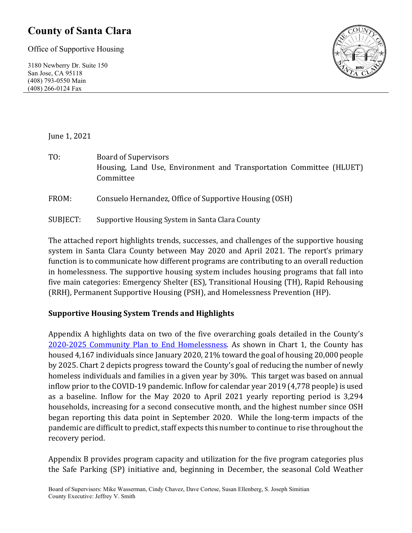### **County of Santa Clara**

Office of Supportive Housing

3180 Newberry Dr. Suite 150 San Jose, CA 95118 (408) 793-0550 Main (408) 266-0124 Fax



June 1, 2021

- TO: Board of Supervisors Housing, Land Use, Environment and Transportation Committee (HLUET) Committee
- FROM: Consuelo Hernandez, Office of Supportive Housing (OSH)
- SUBJECT: Supportive Housing System in Santa Clara County

The attached report highlights trends, successes, and challenges of the supportive housing system in Santa Clara County between May 2020 and April 2021. The report's primary function is to communicate how different programs are contributing to an overall reduction in homelessness. The supportive housing system includes housing programs that fall into five main categories: Emergency Shelter (ES), Transitional Housing (TH), Rapid Rehousing (RRH), Permanent Supportive Housing (PSH), and Homelessness Prevention (HP).

#### **Supportive Housing System Trends and Highlights**

Appendix A highlights data on two of the five overarching goals detailed in the County's [2020-2025 Community Plan to End Homelessness.](https://www.sccgov.org/sites/yes/takeaction/Pages/2020-Santa-Clara-County-Community-Plan-to-End-Homelessness-.aspx) As shown in Chart 1, the County has housed 4,167 individuals since January 2020, 21% toward the goal of housing 20,000 people by 2025. Chart 2 depicts progress toward the County's goal of reducing the number of newly homeless individuals and families in a given year by 30%. This target was based on annual inflow prior to the COVID-19 pandemic. Inflow for calendar year 2019 (4,778 people) is used as a baseline. Inflow for the May 2020 to April 2021 yearly reporting period is 3,294 households, increasing for a second consecutive month, and the highest number since OSH began reporting this data point in September 2020. While the long-term impacts of the pandemic are difficult to predict, staff expects this number to continue to rise throughout the recovery period.

Appendix B provides program capacity and utilization for the five program categories plus the Safe Parking (SP) initiative and, beginning in December, the seasonal Cold Weather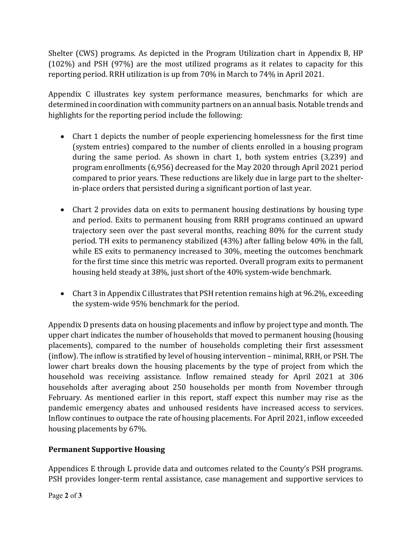Shelter (CWS) programs. As depicted in the Program Utilization chart in Appendix B, HP (102%) and PSH (97%) are the most utilized programs as it relates to capacity for this reporting period. RRH utilization is up from 70% in March to 74% in April 2021.

Appendix C illustrates key system performance measures, benchmarks for which are determined in coordination with community partners on an annual basis. Notable trends and highlights for the reporting period include the following:

- Chart 1 depicts the number of people experiencing homelessness for the first time (system entries) compared to the number of clients enrolled in a housing program during the same period. As shown in chart 1, both system entries (3,239) and program enrollments (6,956) decreased for the May 2020 through April 2021 period compared to prior years. These reductions are likely due in large part to the shelterin-place orders that persisted during a significant portion of last year.
- Chart 2 provides data on exits to permanent housing destinations by housing type and period. Exits to permanent housing from RRH programs continued an upward trajectory seen over the past several months, reaching 80% for the current study period. TH exits to permanency stabilized (43%) after falling below 40% in the fall, while ES exits to permanency increased to 30%, meeting the outcomes benchmark for the first time since this metric was reported. Overall program exits to permanent housing held steady at 38%, just short of the 40% system-wide benchmark.
- Chart 3 in Appendix C illustrates that PSH retention remains high at 96.2%, exceeding the system-wide 95% benchmark for the period.

Appendix D presents data on housing placements and inflow by project type and month. The upper chart indicates the number of households that moved to permanent housing (housing placements), compared to the number of households completing their first assessment (inflow). The inflow is stratified by level of housing intervention – minimal, RRH, or PSH. The lower chart breaks down the housing placements by the type of project from which the household was receiving assistance. Inflow remained steady for April 2021 at 306 households after averaging about 250 households per month from November through February. As mentioned earlier in this report, staff expect this number may rise as the pandemic emergency abates and unhoused residents have increased access to services. Inflow continues to outpace the rate of housing placements. For April 2021, inflow exceeded housing placements by 67%.

#### **Permanent Supportive Housing**

Appendices E through L provide data and outcomes related to the County's PSH programs. PSH provides longer-term rental assistance, case management and supportive services to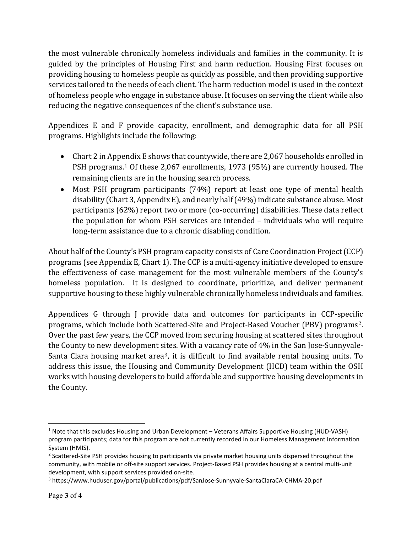the most vulnerable chronically homeless individuals and families in the community. It is guided by the principles of Housing First and harm reduction. Housing First focuses on providing housing to homeless people as quickly as possible, and then providing supportive services tailored to the needs of each client. The harm reduction model is used in the context of homeless people who engage in substance abuse. It focuses on serving the client while also reducing the negative consequences of the client's substance use.

Appendices E and F provide capacity, enrollment, and demographic data for all PSH programs. Highlights include the following:

- Chart 2 in Appendix E shows that countywide, there are 2,067 households enrolled in PSH programs. [1](#page-2-0) Of these 2,067 enrollments, 1973 (95%) are currently housed. The remaining clients are in the housing search process.
- Most PSH program participants (74%) report at least one type of mental health disability (Chart 3, Appendix E), and nearly half (49%) indicate substance abuse. Most participants (62%) report two or more (co-occurring) disabilities. These data reflect the population for whom PSH services are intended – individuals who will require long-term assistance due to a chronic disabling condition.

About half of the County's PSH program capacity consists of Care Coordination Project (CCP) programs (see Appendix E, Chart 1). The CCP is a multi-agency initiative developed to ensure the effectiveness of case management for the most vulnerable members of the County's homeless population. It is designed to coordinate, prioritize, and deliver permanent supportive housing to these highly vulnerable chronically homeless individuals and families.

Appendices G through J provide data and outcomes for participants in CCP-specific programs, which include both Scattered-Site and Project-Based Voucher (PBV) programs[2.](#page-2-1) Over the past few years, the CCP moved from securing housing at scattered sites throughout the County to new development sites. With a vacancy rate of 4% in the San Jose-Sunnyvale-Santa Clara housing market area<sup>[3](#page-2-2)</sup>, it is difficult to find available rental housing units. To address this issue, the Housing and Community Development (HCD) team within the OSH works with housing developers to build affordable and supportive housing developments in the County.

<span id="page-2-0"></span> $1$  Note that this excludes Housing and Urban Development – Veterans Affairs Supportive Housing (HUD-VASH) program participants; data for this program are not currently recorded in our Homeless Management Information System (HMIS).

<span id="page-2-1"></span><sup>&</sup>lt;sup>2</sup> Scattered-Site PSH provides housing to participants via private market housing units dispersed throughout the community, with mobile or off-site support services. Project-Based PSH provides housing at a central multi-unit development, with support services provided on-site.

<span id="page-2-2"></span><sup>3</sup> https://www.huduser.gov/portal/publications/pdf/SanJose-Sunnyvale-SantaClaraCA-CHMA-20.pdf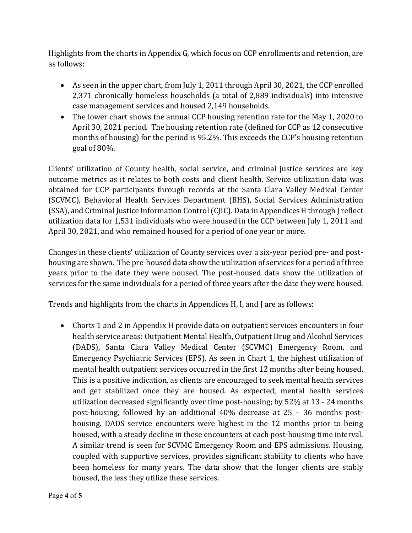Highlights from the charts in Appendix G, which focus on CCP enrollments and retention, are as follows:

- As seen in the upper chart, from July 1, 2011 through April 30, 2021, the CCP enrolled 2,371 chronically homeless households (a total of 2,889 individuals) into intensive case management services and housed 2,149 households.
- The lower chart shows the annual CCP housing retention rate for the May 1, 2020 to April 30, 2021 period. The housing retention rate (defined for CCP as 12 consecutive months of housing) for the period is 95.2%. This exceeds the CCP's housing retention goal of 80%.

Clients' utilization of County health, social service, and criminal justice services are key outcome metrics as it relates to both costs and client health. Service utilization data was obtained for CCP participants through records at the Santa Clara Valley Medical Center (SCVMC), Behavioral Health Services Department (BHS), Social Services Administration (SSA), and Criminal Justice Information Control (CJIC). Data in Appendices H through J reflect utilization data for 1,531 individuals who were housed in the CCP between July 1, 2011 and April 30, 2021, and who remained housed for a period of one year or more.

Changes in these clients' utilization of County services over a six-year period pre- and posthousing are shown. The pre-housed data show the utilization of services for a period of three years prior to the date they were housed. The post-housed data show the utilization of services for the same individuals for a period of three years after the date they were housed.

Trends and highlights from the charts in Appendices H, I, and J are as follows:

• Charts 1 and 2 in Appendix H provide data on outpatient services encounters in four health service areas: Outpatient Mental Health, Outpatient Drug and Alcohol Services (DADS), Santa Clara Valley Medical Center (SCVMC) Emergency Room, and Emergency Psychiatric Services (EPS). As seen in Chart 1, the highest utilization of mental health outpatient services occurred in the first 12 months after being housed. This is a positive indication, as clients are encouraged to seek mental health services and get stabilized once they are housed. As expected, mental health services utilization decreased significantly over time post-housing; by 52% at 13 - 24 months post-housing, followed by an additional 40% decrease at 25 – 36 months posthousing. DADS service encounters were highest in the 12 months prior to being housed, with a steady decline in these encounters at each post-housing time interval. A similar trend is seen for SCVMC Emergency Room and EPS admissions. Housing, coupled with supportive services, provides significant stability to clients who have been homeless for many years. The data show that the longer clients are stably housed, the less they utilize these services.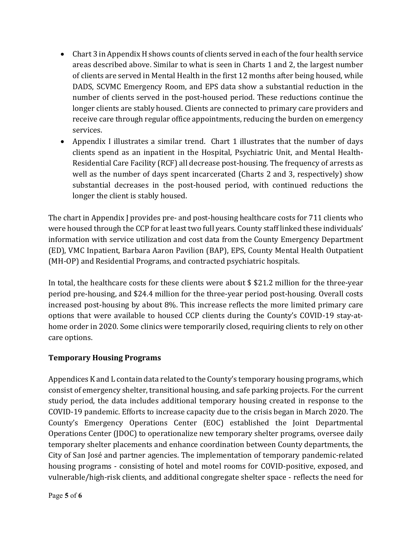- Chart 3 in Appendix H shows counts of clients served in each of the four health service areas described above. Similar to what is seen in Charts 1 and 2, the largest number of clients are served in Mental Health in the first 12 months after being housed, while DADS, SCVMC Emergency Room, and EPS data show a substantial reduction in the number of clients served in the post-housed period. These reductions continue the longer clients are stably housed. Clients are connected to primary care providers and receive care through regular office appointments, reducing the burden on emergency services.
- Appendix I illustrates a similar trend. Chart 1 illustrates that the number of days clients spend as an inpatient in the Hospital, Psychiatric Unit, and Mental Health-Residential Care Facility (RCF) all decrease post-housing. The frequency of arrests as well as the number of days spent incarcerated (Charts 2 and 3, respectively) show substantial decreases in the post-housed period, with continued reductions the longer the client is stably housed.

The chart in Appendix J provides pre- and post-housing healthcare costs for 711 clients who were housed through the CCP for at least two full years. County staff linked these individuals' information with service utilization and cost data from the County Emergency Department (ED), VMC Inpatient, Barbara Aaron Pavilion (BAP), EPS, County Mental Health Outpatient (MH-OP) and Residential Programs, and contracted psychiatric hospitals.

In total, the healthcare costs for these clients were about \$ \$21.2 million for the three-year period pre-housing, and \$24.4 million for the three-year period post-housing. Overall costs increased post-housing by about 8%. This increase reflects the more limited primary care options that were available to housed CCP clients during the County's COVID-19 stay-athome order in 2020. Some clinics were temporarily closed, requiring clients to rely on other care options.

#### **Temporary Housing Programs**

Appendices K and L contain data related to the County's temporary housing programs, which consist of emergency shelter, transitional housing, and safe parking projects. For the current study period, the data includes additional temporary housing created in response to the COVID-19 pandemic. Efforts to increase capacity due to the crisis began in March 2020. The County's Emergency Operations Center (EOC) established the Joint Departmental Operations Center (JDOC) to operationalize new temporary shelter programs, oversee daily temporary shelter placements and enhance coordination between County departments, the City of San José and partner agencies. The implementation of temporary pandemic-related housing programs - consisting of hotel and motel rooms for COVID-positive, exposed, and vulnerable/high-risk clients, and additional congregate shelter space - reflects the need for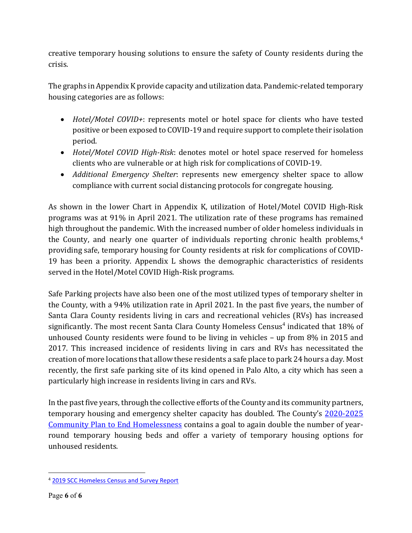creative temporary housing solutions to ensure the safety of County residents during the crisis.

The graphs in Appendix K provide capacity and utilization data. Pandemic-related temporary housing categories are as follows:

- *Hotel/Motel COVID+*: represents motel or hotel space for clients who have tested positive or been exposed to COVID-19 and require support to complete their isolation period.
- *Hotel/Motel COVID High-Risk*: denotes motel or hotel space reserved for homeless clients who are vulnerable or at high risk for complications of COVID-19.
- <span id="page-5-0"></span>• *Additional Emergency Shelter*: represents new emergency shelter space to allow compliance with current social distancing protocols for congregate housing.

As shown in the lower Chart in Appendix K, utilization of Hotel/Motel COVID High-Risk programs was at 91% in April 2021. The utilization rate of these programs has remained high throughout the pandemic. With the increased number of older homeless individuals in the County, and nearly one quarter of individuals reporting chronic health problems,<sup>[4](#page-5-1)</sup> providing safe, temporary housing for County residents at risk for complications of COVID-19 has been a priority. Appendix L shows the demographic characteristics of residents served in the Hotel/Motel COVID High-Risk programs.

Safe Parking projects have also been one of the most utilized types of temporary shelter in the County, with a 94% utilization rate in April 2021. In the past five years, the number of Santa Clara County residents living in cars and recreational vehicles (RVs) has increased significantly. The most recent Santa Clara County Homeless Census<sup>[4](#page-5-0)</sup> indicated that 18% of unhoused County residents were found to be living in vehicles – up from 8% in 2015 and 2017. This increased incidence of residents living in cars and RVs has necessitated the creation of more locations that allow these residents a safe place to park 24 hours a day. Most recently, the first safe parking site of its kind opened in Palo Alto, a city which has seen a particularly high increase in residents living in cars and RVs.

In the past five years, through the collective efforts of the County and its community partners, temporary housing and emergency shelter capacity has doubled. The County's [2020-2025](https://www.sccgov.org/sites/yes/takeaction/Pages/2020-Santa-Clara-County-Community-Plan-to-End-Homelessness-.aspx)  [Community Plan to End Homelessness](https://www.sccgov.org/sites/yes/takeaction/Pages/2020-Santa-Clara-County-Community-Plan-to-End-Homelessness-.aspx) contains a goal to again double the number of yearround temporary housing beds and offer a variety of temporary housing options for unhoused residents.

<span id="page-5-1"></span><sup>4</sup> [2019 SCC Homeless Census and Survey Report](https://www.sccgov.org/sites/osh/ContinuumofCare/ReportsandPublications/Documents/2015%20Santa%20Clara%20County%20Homeless%20Census%20and%20Survey/2019%20SCC%20Homeless%20Census%20and%20Survey%20Report.pdf)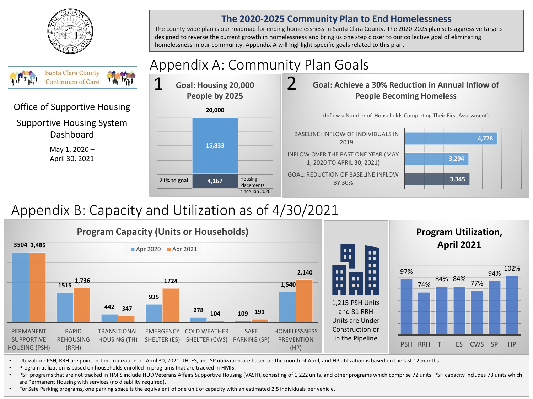



# Office of Supportive Housing

Supportive Housing System Dashboard

> May 1, 2020 – April 30, 2021



# Appendix B: Capacity and Utilization as of 4/30/2021



• Utilization: PSH, RRH are point-in-time utilization on April 30, 2021. TH, ES, and SP utilization are based on the month of April, and HP utilization is based on the last 12 months

• Program utilization is based on households enrolled in programs that are tracked in HMIS.

• PSH programs that are not tracked in HMIS include HUD Veterans Affairs Supportive Housing (VASH), consisting of 1,222 units, and other programs which comprise 72 units. PSH capacity includes 73 units which are Permanent Housing with services (no disability required).

• For Safe Parking programs, one parking space is the equivalent of one unit of capacity with an estimated 2.5 individuals per vehicle.

#### **The 2020-2025 Community Plan to End Homelessness**

The county-wide plan is our roadmap for ending homelessness in Santa Clara County. The 2020-2025 plan sets aggressive targets designed to reverse the current growth in homelessness and bring us one step closer to our collective goal of eliminating homelessness in our community. Appendix A will highlight specific goals related to this plan.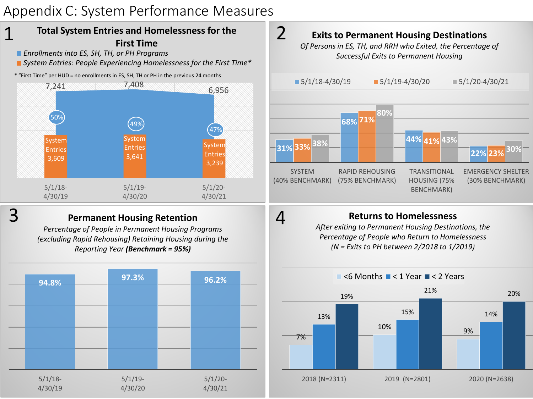# Appendix C: System Performance Measures

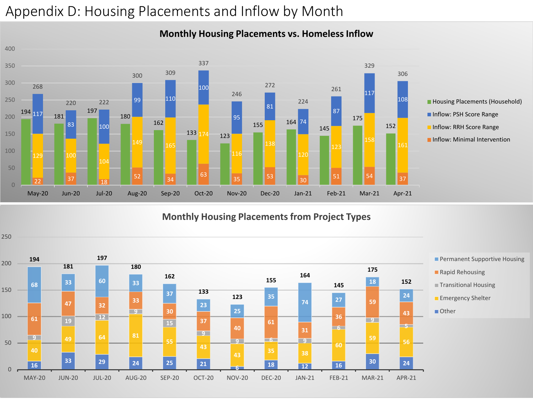# Appendix D: Housing Placements and Inflow by Month



#### **Monthly Housing Placements vs. Homeless Inflow**

#### **Monthly Housing Placements from Project Types**

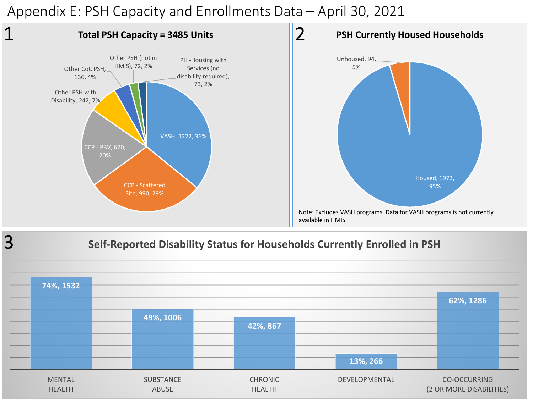Appendix E: PSH Capacity and Enrollments Data – April 30, 2021



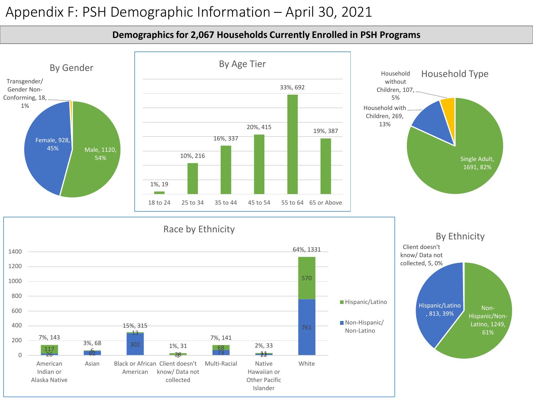### Appendix F: PSH Demographic Information – April 30, 2021



**Demographics for 2,067 Households Currently Enrolled in PSH Programs**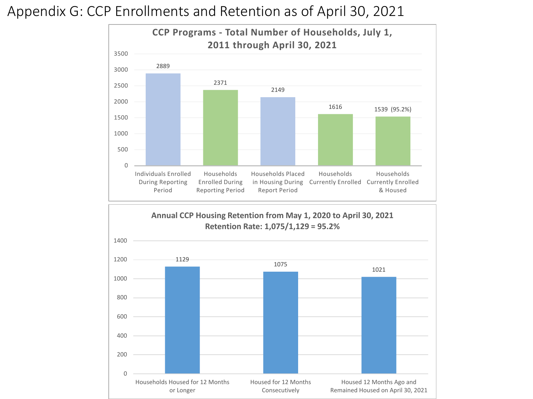Appendix G: CCP Enrollments and Retention as of April 30, 2021



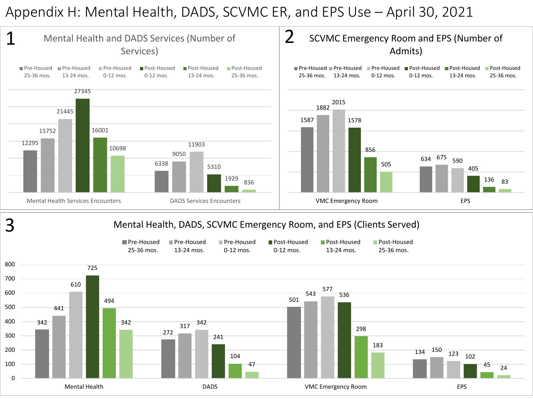### Appendix H: Mental Health, DADS, SCVMC ER, and EPS Use – April 30, 2021

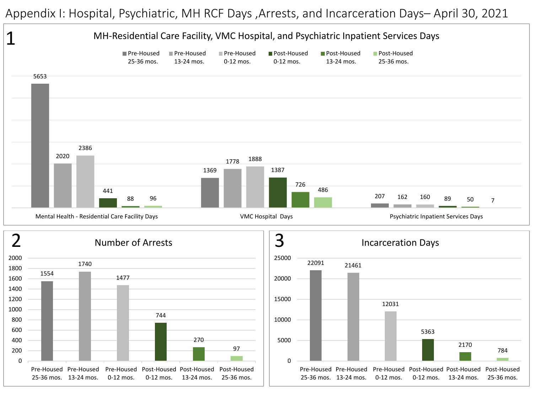Appendix I: Hospital, Psychiatric, MH RCF Days ,Arrests, and Incarceration Days– April 30, 2021

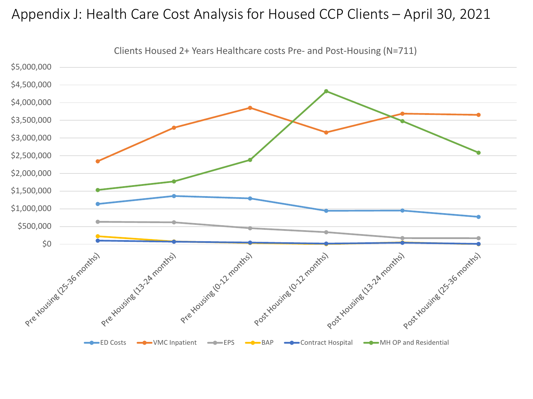### Appendix J: Health Care Cost Analysis for Housed CCP Clients – April 30, 2021



Clients Housed 2+ Years Healthcare costs Pre- and Post-Housing (N=711)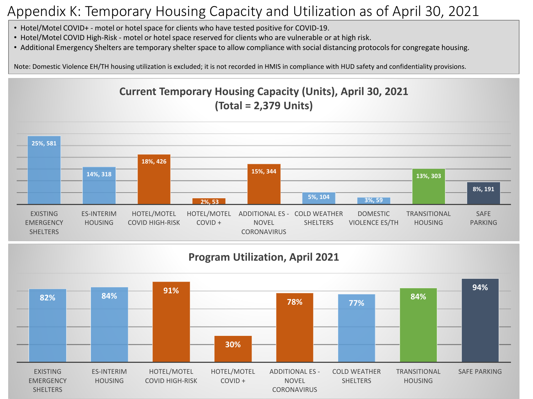# Appendix K: Temporary Housing Capacity and Utilization as of April 30, 2021

- Hotel/Motel COVID+ motel or hotel space for clients who have tested positive for COVID-19.
- Hotel/Motel COVID High-Risk motel or hotel space reserved for clients who are vulnerable or at high risk.
- Additional Emergency Shelters are temporary shelter space to allow compliance with social distancing protocols for congregate housing.

Note: Domestic Violence EH/TH housing utilization is excluded; it is not recorded in HMIS in compliance with HUD safety and confidentiality provisions.